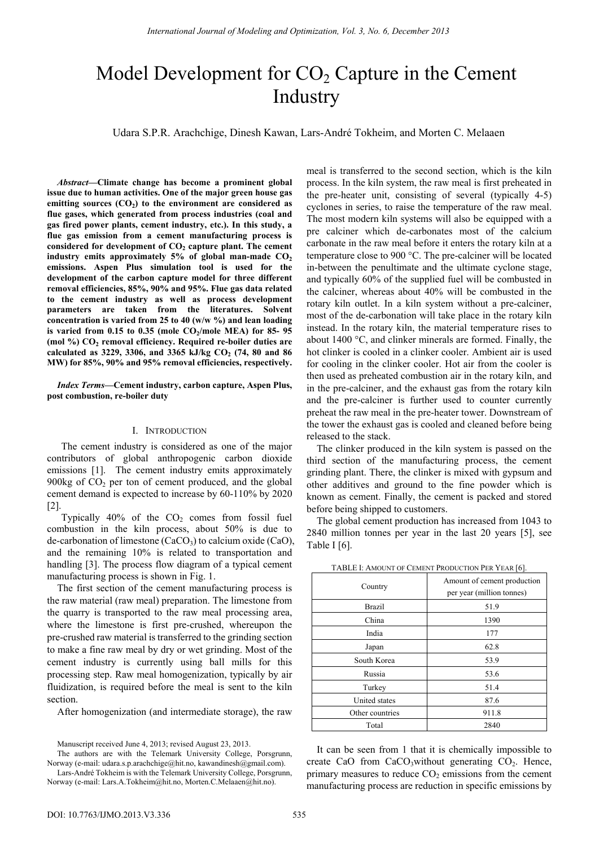# Model Development for  $CO<sub>2</sub>$  Capture in the Cement Industry

Udara S.P.R. Arachchige, Dinesh Kawan, Lars-André Tokheim, and Morten C. Melaaen

*Abstract***—Climate change has become a prominent global issue due to human activities. One of the major green house gas**  emitting sources  $(CO<sub>2</sub>)$  to the environment are considered as **flue gases, which generated from process industries (coal and gas fired power plants, cement industry, etc.). In this study, a flue gas emission from a cement manufacturing process is**  considered for development of  $CO<sub>2</sub>$  capture plant. The cement industry emits approximately  $5\%$  of global man-made  $CO<sub>2</sub>$ **emissions. Aspen Plus simulation tool is used for the development of the carbon capture model for three different removal efficiencies, 85%, 90% and 95%. Flue gas data related to the cement industry as well as process development parameters are taken from the literatures. Solvent concentration is varied from 25 to 40 (w/w %) and lean loading**  is varied from 0.15 to 0.35 (mole CO<sub>2</sub>/mole MEA) for 85- 95 (mol %) CO<sub>2</sub> removal efficiency. Required re-boiler duties are calculated as 3229, 3306, and 3365 kJ/kg  $CO_2$  (74, 80 and 86 **MW) for 85%, 90% and 95% removal efficiencies, respectively.** 

*Index Terms***—Cement industry, carbon capture, Aspen Plus, post combustion, re-boiler duty** 

## I. INTRODUCTION

The cement industry is considered as one of the major contributors of global anthropogenic carbon dioxide emissions [1]. The cement industry emits approximately 900kg of  $CO<sub>2</sub>$  per ton of cement produced, and the global cement demand is expected to increase by 60-110% by 2020 [2].

Typically  $40\%$  of the  $CO<sub>2</sub>$  comes from fossil fuel combustion in the kiln process, about 50% is due to de-carbonation of limestone (CaCO<sub>3</sub>) to calcium oxide (CaO), and the remaining 10% is related to transportation and handling [3]. The process flow diagram of a typical cement manufacturing process is shown in Fig. 1.

The first section of the cement manufacturing process is the raw material (raw meal) preparation. The limestone from the quarry is transported to the raw meal processing area, where the limestone is first pre-crushed, whereupon the pre-crushed raw material is transferred to the grinding section to make a fine raw meal by dry or wet grinding. Most of the cement industry is currently using ball mills for this processing step. Raw meal homogenization, typically by air fluidization, is required before the meal is sent to the kiln section.

After homogenization (and intermediate storage), the raw

meal is transferred to the second section, which is the kiln process. In the kiln system, the raw meal is first preheated in the pre-heater unit, consisting of several (typically 4-5) cyclones in series, to raise the temperature of the raw meal. The most modern kiln systems will also be equipped with a pre calciner which de-carbonates most of the calcium carbonate in the raw meal before it enters the rotary kiln at a temperature close to 900 °C. The pre-calciner will be located in-between the penultimate and the ultimate cyclone stage, and typically 60% of the supplied fuel will be combusted in the calciner, whereas about 40% will be combusted in the rotary kiln outlet. In a kiln system without a pre-calciner, most of the de-carbonation will take place in the rotary kiln instead. In the rotary kiln, the material temperature rises to about 1400 °C, and clinker minerals are formed. Finally, the hot clinker is cooled in a clinker cooler. Ambient air is used for cooling in the clinker cooler. Hot air from the cooler is then used as preheated combustion air in the rotary kiln, and in the pre-calciner, and the exhaust gas from the rotary kiln and the pre-calciner is further used to counter currently preheat the raw meal in the pre-heater tower. Downstream of the tower the exhaust gas is cooled and cleaned before being released to the stack.

The clinker produced in the kiln system is passed on the third section of the manufacturing process, the cement grinding plant. There, the clinker is mixed with gypsum and other additives and ground to the fine powder which is known as cement. Finally, the cement is packed and stored before being shipped to customers.

The global cement production has increased from 1043 to 2840 million tonnes per year in the last 20 years [5], see Table I [6].

| <b>I ADLL 1. AMOUNT OF CEMENT I RODUCTION LER TEAR [0].</b> |                                                          |  |  |  |
|-------------------------------------------------------------|----------------------------------------------------------|--|--|--|
| Country                                                     | Amount of cement production<br>per year (million tonnes) |  |  |  |
| <b>Brazil</b>                                               | 51.9                                                     |  |  |  |
| China                                                       | 1390                                                     |  |  |  |
| India                                                       | 177                                                      |  |  |  |
| Japan                                                       | 62.8                                                     |  |  |  |
| South Korea                                                 | 53.9                                                     |  |  |  |
| Russia                                                      | 53.6                                                     |  |  |  |
| Turkey                                                      | 51.4                                                     |  |  |  |
| United states                                               | 87.6                                                     |  |  |  |
| Other countries                                             | 911.8                                                    |  |  |  |
| Total                                                       | 2840                                                     |  |  |  |

TABLE I: AMOUNT OF CEMENT PRODUCTION PER YEAR [6].

It can be seen from 1 that it is chemically impossible to create CaO from  $CaCO<sub>3</sub>$  without generating  $CO<sub>2</sub>$ . Hence, primary measures to reduce  $CO<sub>2</sub>$  emissions from the cement manufacturing process are reduction in specific emissions by

Manuscript received June 4, 2013; revised August 23, 2013.

The authors are with the Telemark University College, Porsgrunn, Norway (e-mail: udara.s.p.arachchige@hit.no, kawandinesh@gmail.com).

Lars-André Tokheim is with the Telemark University College, Porsgrunn, Norway (e-mail: Lars.A.Tokheim@hit.no, Morten.C.Melaaen@hit.no).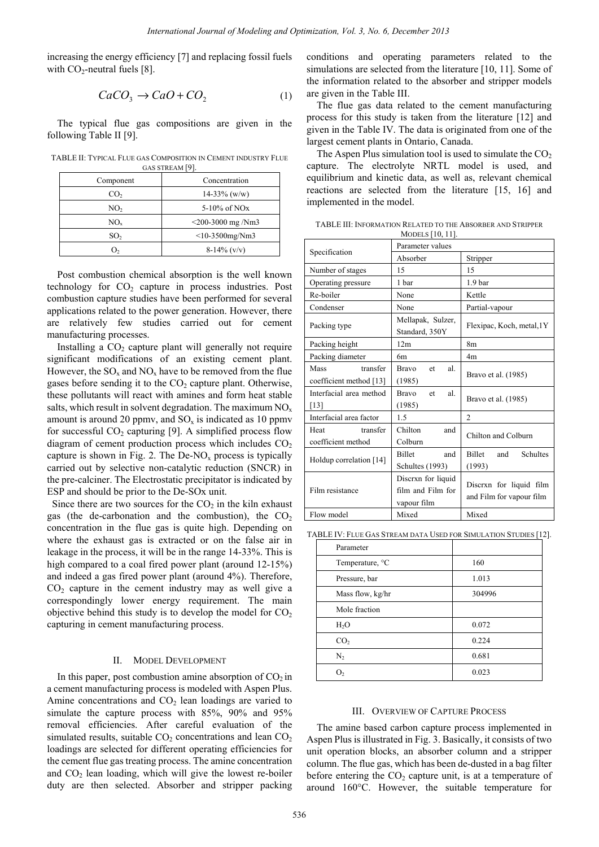increasing the energy efficiency [7] and replacing fossil fuels with  $CO_2$ -neutral fuels [8].

$$
CaCO_3 \rightarrow CaO + CO_2 \tag{1}
$$

The typical flue gas compositions are given in the following Table II [9].

TABLE II: TYPICAL FLUE GAS COMPOSITION IN CEMENT INDUSTRY FLUE GAS STREAM [9].

| $\sim$          |                             |  |  |  |  |
|-----------------|-----------------------------|--|--|--|--|
| Component       | Concentration               |  |  |  |  |
| CO <sub>2</sub> | $14-33\%$ (w/w)             |  |  |  |  |
| NO <sub>2</sub> | $5-10\%$ of NO <sub>x</sub> |  |  |  |  |
| $NO_{x}$        | $<$ 200-3000 mg /Nm3        |  |  |  |  |
| SO <sub>2</sub> | $<$ 10-3500mg/Nm3           |  |  |  |  |
| ر (             | $8-14\%$ (v/v)              |  |  |  |  |

Post combustion chemical absorption is the well known technology for  $CO<sub>2</sub>$  capture in process industries. Post combustion capture studies have been performed for several applications related to the power generation. However, there are relatively few studies carried out for cement manufacturing processes.

Installing a  $CO<sub>2</sub>$  capture plant will generally not require significant modifications of an existing cement plant. However, the  $SO_x$  and  $NO_x$  have to be removed from the flue gases before sending it to the  $CO<sub>2</sub>$  capture plant. Otherwise, these pollutants will react with amines and form heat stable salts, which result in solvent degradation. The maximum  $NO<sub>x</sub>$ amount is around 20 ppmv, and  $SO_x$  is indicated as 10 ppmv for successful  $CO<sub>2</sub>$  capturing [9]. A simplified process flow diagram of cement production process which includes  $CO<sub>2</sub>$ capture is shown in Fig. 2. The De-NO<sub>x</sub> process is typically carried out by selective non-catalytic reduction (SNCR) in the pre-calciner. The Electrostatic precipitator is indicated by ESP and should be prior to the De-SOx unit.

Since there are two sources for the  $CO<sub>2</sub>$  in the kiln exhaust gas (the de-carbonation and the combustion), the  $CO<sub>2</sub>$ concentration in the flue gas is quite high. Depending on where the exhaust gas is extracted or on the false air in leakage in the process, it will be in the range 14-33%. This is high compared to a coal fired power plant (around 12-15%) and indeed a gas fired power plant (around 4%). Therefore,  $CO<sub>2</sub>$  capture in the cement industry may as well give a correspondingly lower energy requirement. The main objective behind this study is to develop the model for  $CO<sub>2</sub>$ capturing in cement manufacturing process.

# II. MODEL DEVELOPMENT

In this paper, post combustion amine absorption of  $CO<sub>2</sub>$  in a cement manufacturing process is modeled with Aspen Plus. Amine concentrations and  $CO<sub>2</sub>$  lean loadings are varied to simulate the capture process with 85%, 90% and 95% removal efficiencies. After careful evaluation of the simulated results, suitable  $CO<sub>2</sub>$  concentrations and lean  $CO<sub>2</sub>$ loadings are selected for different operating efficiencies for the cement flue gas treating process. The amine concentration and  $CO<sub>2</sub>$  lean loading, which will give the lowest re-boiler duty are then selected. Absorber and stripper packing

TABLE III: INFORMATION RELATED TO THE ABSORBER AND STRIPPER MODELS [10, 11].

|    | International Journal of Modeling and Optimization, Vol. 3, No. 6, December 2013 |     |                                             |                                         |                                                                                                                               |  |
|----|----------------------------------------------------------------------------------|-----|---------------------------------------------|-----------------------------------------|-------------------------------------------------------------------------------------------------------------------------------|--|
| 引. | iciency [7] and replacing fossil fuels                                           |     | conditions                                  |                                         | and operating parameters related to the<br>simulations are selected from the literature $[10, 11]$ . Some of                  |  |
|    | $\cdot$ CaO + CO <sub>2</sub>                                                    | (1) | are given in the Table III.                 |                                         | the information related to the absorber and stripper models                                                                   |  |
|    |                                                                                  |     |                                             |                                         | The flue gas data related to the cement manufacturing                                                                         |  |
|    | s compositions are given in the                                                  |     | largest cement plants in Ontario, Canada.   |                                         | process for this study is taken from the literature [12] and<br>given in the Table IV. The data is originated from one of the |  |
|    | S COMPOSITION IN CEMENT INDUSTRY FLUE<br>AS STREAM <sup>[9]</sup>                |     |                                             |                                         | The Aspen Plus simulation tool is used to simulate the $CO2$<br>capture. The electrolyte NRTL model is used, and              |  |
|    | Concentration                                                                    |     |                                             |                                         | equilibrium and kinetic data, as well as, relevant chemical                                                                   |  |
|    | $14-33\%$ (w/w)                                                                  |     |                                             |                                         | reactions are selected from the literature [15, 16] and                                                                       |  |
|    | 5-10% of NO <sub>x</sub>                                                         |     | implemented in the model.                   |                                         |                                                                                                                               |  |
|    | $<$ 200-3000 mg /Nm3<br>$<$ 10-3500mg/Nm3                                        |     |                                             | <b>MODELS</b> [10, 11]                  | TABLE III: INFORMATION RELATED TO THE ABSORBER AND STRIPPER                                                                   |  |
|    | $8-14\%$ (v/v)                                                                   |     | Specification                               | Parameter values                        |                                                                                                                               |  |
|    |                                                                                  |     |                                             | Absorber                                | Stripper                                                                                                                      |  |
|    | nical absorption is the well known                                               |     | Number of stages                            | 15                                      | 15                                                                                                                            |  |
|    | upture in process industries. Post                                               |     | Operating pressure                          | 1 bar                                   | 1.9 bar                                                                                                                       |  |
|    | ies have been performed for several                                              |     | Re-boiler                                   | None                                    | Kettle                                                                                                                        |  |
|    | e power generation. However, there                                               |     | Condenser                                   | None                                    | Partial-vapour                                                                                                                |  |
|    | tudies carried out for cement                                                    |     | Packing type                                | Mellapak, Sulzer,<br>Standard, 350Y     | Flexipac, Koch, metal, 1Y                                                                                                     |  |
|    | are plant will generally not require                                             |     | Packing height                              | 12m                                     | 8 <sub>m</sub>                                                                                                                |  |
|    | is of an existing cement plant.                                                  |     | Packing diameter                            | 6m                                      | 4m                                                                                                                            |  |
|    | $O_x$ have to be removed from the flue<br>o the $CO2$ capture plant. Otherwise,  |     | Mass<br>transfer<br>coefficient method [13] | <b>Bravo</b><br>et<br>al.<br>(1985)     | Bravo et al. (1985)                                                                                                           |  |
|    | et with amines and form heat stable                                              |     | Interfacial area method                     | Bravo<br>et<br>al.                      | Bravo et al. (1985)                                                                                                           |  |
|    | ent degradation. The maximum $NOx$                                               |     | $[13]$                                      | (1985)                                  |                                                                                                                               |  |
|    | nv, and $SO_x$ is indicated as 10 ppmv                                           |     | Interfacial area factor                     | 1.5                                     | 2                                                                                                                             |  |
|    | tring [9]. A simplified process flow                                             |     | Heat<br>transfer<br>coefficient method      | Chilton<br>and<br>Colburn               | Chilton and Colburn                                                                                                           |  |
|    | uction process which includes $CO2$                                              |     |                                             | Billet<br>and                           | Billet<br>Schultes<br>and                                                                                                     |  |
|    | 2. The De- $NOx$ process is typically<br>non-catalytic reduction (SNCR) in       |     | Holdup correlation [14]                     | Schultes (1993)                         | (1993)                                                                                                                        |  |
|    | ctrostatic precipitator is indicated by                                          |     |                                             | Discrxn for liquid                      |                                                                                                                               |  |
|    | to the De-SO <sub>x</sub> unit.                                                  |     | Film resistance                             | film and Film for                       | Discrxn for liquid film                                                                                                       |  |
|    | rces for the $CO2$ in the kiln exhaust                                           |     |                                             | vapour film                             | and Film for vapour film                                                                                                      |  |
|    | i and the combustion), the $CO2$                                                 |     | Flow model                                  | Mixed                                   | Mixed                                                                                                                         |  |
|    | e gas is quite high. Depending on                                                |     |                                             |                                         | TABLE IV: FLUE GAS STREAM DATA USED FOR SIMULATION STUDIES [12].                                                              |  |
|    | is extracted or on the false air in                                              |     | Parameter                                   |                                         |                                                                                                                               |  |
|    | will be in the range 14-33%. This is<br>fired power plant (around $12-15\%$ )    |     | Temperature, °C                             |                                         | 160                                                                                                                           |  |
|    | ower plant (around 4%). Therefore,                                               |     | Pressure, bar                               |                                         | 1.013                                                                                                                         |  |
|    | nent industry may as well give a                                                 |     | Mass flow, kg/hr                            |                                         | 304996                                                                                                                        |  |
|    | energy requirement. The main                                                     |     |                                             |                                         |                                                                                                                               |  |
|    | dy is to develop the model for $CO2$                                             |     | Mole fraction                               |                                         |                                                                                                                               |  |
|    | ufacturing process.                                                              |     | H <sub>2</sub> O                            |                                         | 0.072<br>0.224                                                                                                                |  |
|    |                                                                                  |     | CO <sub>2</sub><br>$\mathrm{N}_2$           |                                         | 0.681                                                                                                                         |  |
|    | del Development                                                                  |     | O <sub>2</sub>                              |                                         | 0.023                                                                                                                         |  |
|    | nbustion amine absorption of $CO2$ in<br>process is modeled with Aspen Plus.     |     |                                             |                                         |                                                                                                                               |  |
|    | and $CO2$ lean loadings are varied to                                            |     |                                             |                                         |                                                                                                                               |  |
|    | rocess with 85%, 90% and 95%                                                     |     |                                             | <b>III. OVERVIEW OF CAPTURE PROCESS</b> |                                                                                                                               |  |
|    | After careful evaluation of the                                                  |     |                                             |                                         | The amine based carbon capture process implemented in                                                                         |  |
|    | $\rm{e}$ CO <sub>2</sub> concentrations and lean CO <sub>2</sub>                 |     |                                             |                                         | Aspen Plus is illustrated in Fig. 3. Basically, it consists of two                                                            |  |
|    | different operating efficiencies for<br>ng process. The amine concentration      |     |                                             |                                         | unit operation blocks, an absorber column and a stripper                                                                      |  |
|    | which will give the lowest re-boiler                                             |     |                                             |                                         | column. The flue gas, which has been de-dusted in a bag filter                                                                |  |
|    | . Absorber and stripper packing                                                  |     |                                             |                                         | before entering the $CO2$ capture unit, is at a temperature of<br>around 160°C. However, the suitable temperature for         |  |
|    |                                                                                  |     |                                             |                                         |                                                                                                                               |  |
|    |                                                                                  | 536 |                                             |                                         |                                                                                                                               |  |

| Parameter        |        |
|------------------|--------|
| Temperature, °C  | 160    |
| Pressure, bar    | 1.013  |
| Mass flow, kg/hr | 304996 |
| Mole fraction    |        |
| $H_2O$           | 0.072  |
| CO <sub>2</sub>  | 0.224  |
| N <sub>2</sub>   | 0.681  |
|                  | 0.023  |

### III. OVERVIEW OF CAPTURE PROCESS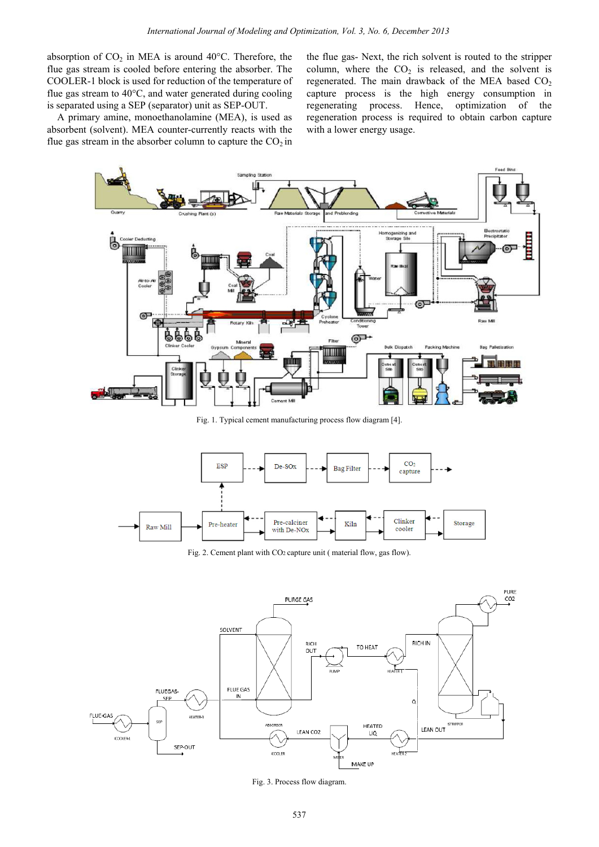absorption of  $CO<sub>2</sub>$  in MEA is around 40°C. Therefore, the flue gas stream is cooled before entering the absorber. The COOLER-1 block is used for reduction of the temperature of flue gas stream to 40°C, and water generated during cooling is separated using a SEP (separator) unit as SEP-OUT.

 A primary amine, monoethanolamine (MEA), is used as absorbent (solvent). MEA counter-currently reacts with the flue gas stream in the absorber column to capture the  $CO<sub>2</sub>$  in the flue gas- Next, the rich solvent is routed to the stripper column, where the  $CO<sub>2</sub>$  is released, and the solvent is regenerated. The main drawback of the MEA based  $CO<sub>2</sub>$ capture process is the high energy consumption in regenerating process. Hence, optimization of the regeneration process is required to obtain carbon capture with a lower energy usage.



Fig. 1. Typical cement manufacturing process flow diagram [4].



Fig. 2. Cement plant with CO2 capture unit ( material flow, gas flow).



Fig. 3. Process flow diagram.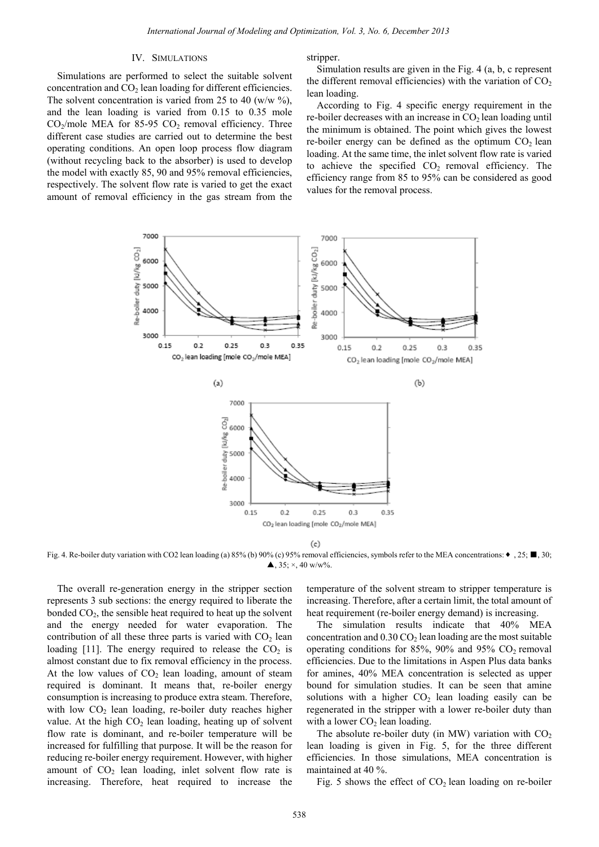#### IV. SIMULATIONS

Simulations are performed to select the suitable solvent concentration and  $CO<sub>2</sub>$  lean loading for different efficiencies. The solvent concentration is varied from 25 to 40 (w/w  $\%$ ), and the lean loading is varied from 0.15 to 0.35 mole  $CO<sub>2</sub>/mole MEA$  for 85-95  $CO<sub>2</sub>$  removal efficiency. Three different case studies are carried out to determine the best operating conditions. An open loop process flow diagram (without recycling back to the absorber) is used to develop the model with exactly 85, 90 and 95% removal efficiencies, respectively. The solvent flow rate is varied to get the exact amount of removal efficiency in the gas stream from the stripper.

 Simulation results are given in the Fig. 4 (a, b, c represent the different removal efficiencies) with the variation of  $CO<sub>2</sub>$ lean loading.

According to Fig. 4 specific energy requirement in the re-boiler decreases with an increase in  $CO<sub>2</sub>$  lean loading until the minimum is obtained. The point which gives the lowest re-boiler energy can be defined as the optimum  $CO<sub>2</sub>$  lean loading. At the same time, the inlet solvent flow rate is varied to achieve the specified  $CO<sub>2</sub>$  removal efficiency. The efficiency range from 85 to 95% can be considered as good values for the removal process.



Fig. 4. Re-boiler duty variation with CO2 lean loading (a) 85% (b) 90% (c) 95% removal efficiencies, symbols refer to the MEA concentrations: ♦ , 25; ■, 30;  $\blacktriangle$ , 35; ×, 40 w/w%.

 The overall re-generation energy in the stripper section represents 3 sub sections: the energy required to liberate the bonded  $CO<sub>2</sub>$ , the sensible heat required to heat up the solvent and the energy needed for water evaporation. The contribution of all these three parts is varied with  $CO<sub>2</sub>$  lean loading [11]. The energy required to release the  $CO<sub>2</sub>$  is almost constant due to fix removal efficiency in the process. At the low values of  $CO<sub>2</sub>$  lean loading, amount of steam required is dominant. It means that, re-boiler energy consumption is increasing to produce extra steam. Therefore, with low  $CO<sub>2</sub>$  lean loading, re-boiler duty reaches higher value. At the high  $CO<sub>2</sub>$  lean loading, heating up of solvent flow rate is dominant, and re-boiler temperature will be increased for fulfilling that purpose. It will be the reason for reducing re-boiler energy requirement. However, with higher amount of  $CO<sub>2</sub>$  lean loading, inlet solvent flow rate is increasing. Therefore, heat required to increase the

temperature of the solvent stream to stripper temperature is increasing. Therefore, after a certain limit, the total amount of heat requirement (re-boiler energy demand) is increasing.

 The simulation results indicate that 40% MEA concentration and  $0.30 \text{ CO}_2$  lean loading are the most suitable operating conditions for 85%, 90% and 95%  $CO<sub>2</sub>$  removal efficiencies. Due to the limitations in Aspen Plus data banks for amines, 40% MEA concentration is selected as upper bound for simulation studies. It can be seen that amine solutions with a higher  $CO<sub>2</sub>$  lean loading easily can be regenerated in the stripper with a lower re-boiler duty than with a lower  $CO<sub>2</sub>$  lean loading.

The absolute re-boiler duty (in MW) variation with  $CO<sub>2</sub>$ lean loading is given in Fig. 5, for the three different efficiencies. In those simulations, MEA concentration is maintained at 40 %.

Fig. 5 shows the effect of  $CO<sub>2</sub>$  lean loading on re-boiler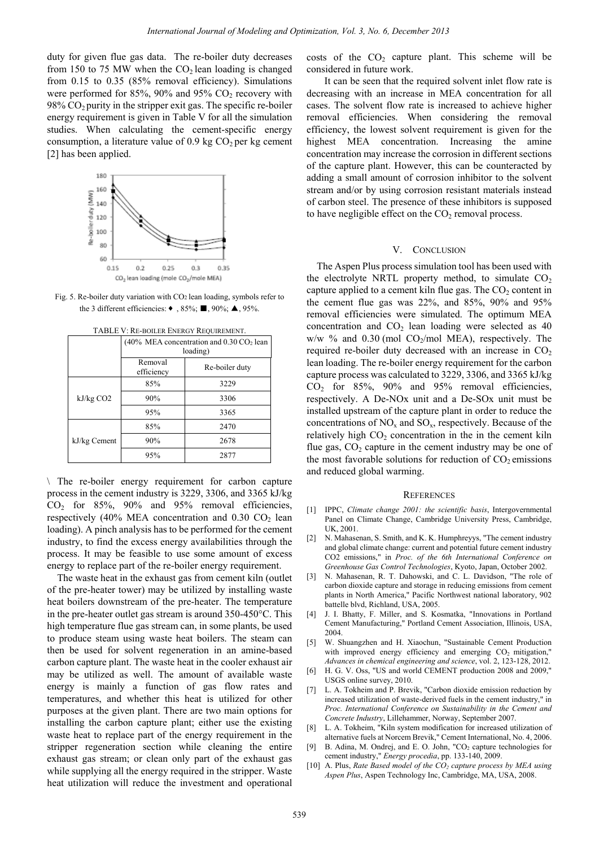duty for given flue gas data. The re-boiler duty decreases from 150 to 75 MW when the  $CO<sub>2</sub>$  lean loading is changed from 0.15 to 0.35 (85% removal efficiency). Simulations were performed for 85%, 90% and 95%  $CO<sub>2</sub>$  recovery with  $98\%$  CO<sub>2</sub> purity in the stripper exit gas. The specific re-boiler energy requirement is given in Table V for all the simulation studies. When calculating the cement-specific energy consumption, a literature value of 0.9 kg  $CO<sub>2</sub>$  per kg cement [2] has been applied.



Fig. 5. Re-boiler duty variation with CO2 lean loading, symbols refer to the 3 different efficiencies:  $\bullet$ , 85%;  $\blacksquare$ , 90%;  $\blacktriangle$ , 95%.

|              | (40% MEA concentration and $0.30 \text{ CO}_2$ lean<br>loading) |                |  |
|--------------|-----------------------------------------------------------------|----------------|--|
|              | Removal<br>efficiency                                           | Re-boiler duty |  |
| kJ/kg CO2    | 85%                                                             | 3229           |  |
|              | 90%                                                             | 3306           |  |
|              | 95%                                                             | 3365           |  |
| kJ/kg Cement | 85%                                                             | 2470           |  |
|              | 90%                                                             | 2678           |  |
|              | 95%                                                             | 2877           |  |

TABLE V: RE-BOILER ENERGY REQUIREMENT.

\ The re-boiler energy requirement for carbon capture process in the cement industry is 3229, 3306, and 3365 kJ/kg  $CO<sub>2</sub>$  for  $85\%$ ,  $90\%$  and  $95\%$  removal efficiencies, respectively (40% MEA concentration and  $0.30 \text{ CO}_2$  lean loading). A pinch analysis has to be performed for the cement industry, to find the excess energy availabilities through the process. It may be feasible to use some amount of excess energy to replace part of the re-boiler energy requirement.

 The waste heat in the exhaust gas from cement kiln (outlet of the pre-heater tower) may be utilized by installing waste heat boilers downstream of the pre-heater. The temperature in the pre-heater outlet gas stream is around 350-450°C. This high temperature flue gas stream can, in some plants, be used to produce steam using waste heat boilers. The steam can then be used for solvent regeneration in an amine-based carbon capture plant. The waste heat in the cooler exhaust air may be utilized as well. The amount of available waste energy is mainly a function of gas flow rates and temperatures, and whether this heat is utilized for other purposes at the given plant. There are two main options for installing the carbon capture plant; either use the existing waste heat to replace part of the energy requirement in the stripper regeneration section while cleaning the entire exhaust gas stream; or clean only part of the exhaust gas while supplying all the energy required in the stripper. Waste heat utilization will reduce the investment and operational *International of Journal of Modeling and Optimization, For 3, No. 6, December 2013*<br>
alata. The re-boil day decrease costs of the CO, coptius<br>
is removed if the Co, and the Co, and the Co, and the Co, and the Co, and the

costs of the  $CO<sub>2</sub>$  capture plant. This scheme will be considered in future work.

 It can be seen that the required solvent inlet flow rate is decreasing with an increase in MEA concentration for all cases. The solvent flow rate is increased to achieve higher removal efficiencies. When considering the removal efficiency, the lowest solvent requirement is given for the highest MEA concentration. Increasing the amine concentration may increase the corrosion in different sections of the capture plant. However, this can be counteracted by adding a small amount of corrosion inhibitor to the solvent stream and/or by using corrosion resistant materials instead of carbon steel. The presence of these inhibitors is supposed to have negligible effect on the  $CO<sub>2</sub>$  removal process.

## V. CONCLUSION

The Aspen Plus process simulation tool has been used with the electrolyte NRTL property method, to simulate  $CO<sub>2</sub>$ capture applied to a cement kiln flue gas. The  $CO<sub>2</sub>$  content in the cement flue gas was 22%, and 85%, 90% and 95% removal efficiencies were simulated. The optimum MEA concentration and  $CO<sub>2</sub>$  lean loading were selected as 40  $w/w$  % and 0.30 (mol CO<sub>2</sub>/mol MEA), respectively. The required re-boiler duty decreased with an increase in  $CO<sub>2</sub>$ lean loading. The re-boiler energy requirement for the carbon capture process was calculated to 3229, 3306, and 3365 kJ/kg  $CO<sub>2</sub>$  for 85%, 90% and 95% removal efficiencies, respectively. A De-NOx unit and a De-SOx unit must be installed upstream of the capture plant in order to reduce the concentrations of  $NO_x$  and  $SO_x$ , respectively. Because of the relatively high  $CO<sub>2</sub>$  concentration in the in the cement kiln flue gas,  $CO<sub>2</sub>$  capture in the cement industry may be one of the most favorable solutions for reduction of  $CO<sub>2</sub>$  emissions and reduced global warming.

#### **REFERENCES**

- [1] IPPC, *Climate change 2001: the scientific basis*, Intergovernmental Panel on Climate Change, Cambridge University Press, Cambridge, UK, 2001.
- [2] N. Mahasenan, S. Smith, and K. K. Humphreyys, "The cement industry and global climate change: current and potential future cement industry CO2 emissions," in *Proc. of the 6th International Conference on Greenhouse Gas Control Technologies*, Kyoto, Japan, October 2002.
- [3] N. Mahasenan, R. T. Dahowski, and C. L. Davidson, "The role of carbon dioxide capture and storage in reducing emissions from cement plants in North America," Pacific Northwest national laboratory, 902 battelle blvd, Richland, USA, 2005.
- [4] J. I. Bhatty, F. Miller, and S. Kosmatka, "Innovations in Portland Cement Manufacturing," Portland Cement Association, Illinois, USA, 2004.
- [5] W. Shuangzhen and H. Xiaochun, "Sustainable Cement Production with improved energy efficiency and emerging  $CO<sub>2</sub>$  mitigation," *Advances in chemical engineering and science*, vol. 2, 123-128, 2012.
- [6] H. G. V. Oss, "US and world CEMENT production 2008 and 2009," USGS online survey, 2010.
- [7] L. A. Tokheim and P. Brevik, "Carbon dioxide emission reduction by increased utilization of waste-derived fuels in the cement industry," in *Proc. International Conference on Sustainability in the Cement and Concrete Industry*, Lillehammer, Norway, September 2007.
- [8] L. A. Tokheim, "Kiln system modification for increased utilization of alternative fuels at Norcem Brevik," Cement International, No. 4, 2006.
- B. Adina, M. Ondrej, and E. O. John, "CO<sub>2</sub> capture technologies for cement industry," *Energy procedia*, pp. 133-140, 2009.
- [10] A. Plus, *Rate Based model of the CO<sub>2</sub> capture process by MEA using Aspen Plus*, Aspen Technology Inc, Cambridge, MA, USA, 2008.